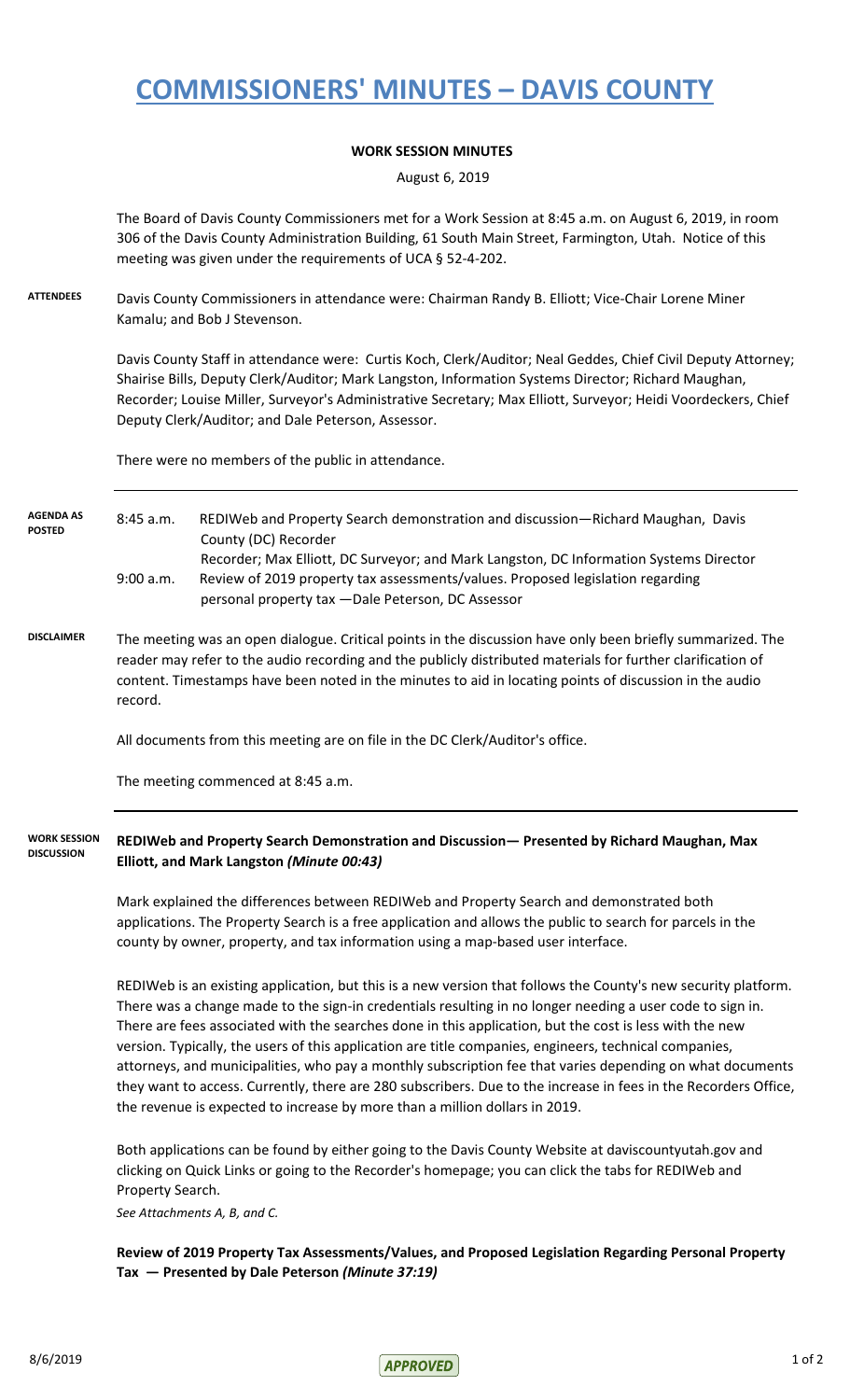## **COMMISSIONERS' MINUTES – DAVIS COUNTY**

## **WORK SESSION MINUTES**

August 6, 2019

The Board of Davis County Commissioners met for a Work Session at 8:45 a.m. on August 6, 2019, in room 306 of the Davis County Administration Building, 61 South Main Street, Farmington, Utah. Notice of this meeting was given under the requirements of UCA § 52-4-202.

**ATTENDEES** Davis County Commissioners in attendance were: Chairman Randy B. Elliott; Vice-Chair Lorene Miner Kamalu; and Bob J Stevenson.

> Davis County Staff in attendance were: Curtis Koch, Clerk/Auditor; Neal Geddes, Chief Civil Deputy Attorney; Shairise Bills, Deputy Clerk/Auditor; Mark Langston, Information Systems Director; Richard Maughan, Recorder; Louise Miller, Surveyor's Administrative Secretary; Max Elliott, Surveyor; Heidi Voordeckers, Chief Deputy Clerk/Auditor; and Dale Peterson, Assessor.

There were no members of the public in attendance.

8:45 a.m. REDIWeb and Property Search demonstration and discussion—Richard Maughan, Davis County (DC) Recorder Recorder; Max Elliott, DC Surveyor; and Mark Langston, DC Information Systems Director 9:00 a.m. Review of 2019 property tax assessments/values. Proposed legislation regarding personal property tax —Dale Peterson, DC Assessor **AGENDA AS POSTED**

**DISCLAIMER** The meeting was an open dialogue. Critical points in the discussion have only been briefly summarized. The reader may refer to the audio recording and the publicly distributed materials for further clarification of content. Timestamps have been noted in the minutes to aid in locating points of discussion in the audio record.

All documents from this meeting are on file in the DC Clerk/Auditor's office.

The meeting commenced at 8:45 a.m.

**REDIWeb and Property Search Demonstration and Discussion— Presented by Richard Maughan, Max Elliott, and Mark Langston** *(Minute 00:43)* **WORK SESSION DISCUSSION**

> Mark explained the differences between REDIWeb and Property Search and demonstrated both applications. The Property Search is a free application and allows the public to search for parcels in the county by owner, property, and tax information using a map-based user interface.

REDIWeb is an existing application, but this is a new version that follows the County's new security platform. There was a change made to the sign-in credentials resulting in no longer needing a user code to sign in. There are fees associated with the searches done in this application, but the cost is less with the new version. Typically, the users of this application are title companies, engineers, technical companies, attorneys, and municipalities, who pay a monthly subscription fee that varies depending on what documents they want to access. Currently, there are 280 subscribers. Due to the increase in fees in the Recorders Office, the revenue is expected to increase by more than a million dollars in 2019.

Both applications can be found by either going to the Davis County Website at daviscountyutah.gov and clicking on Quick Links or going to the Recorder's homepage; you can click the tabs for REDIWeb and Property Search.

*See Attachments A, B, and C.*

**Review of 2019 Property Tax Assessments/Values, and Proposed Legislation Regarding Personal Property Tax — Presented by Dale Peterson** *(Minute 37:19)*

 $8/6/2019$  1 of 2